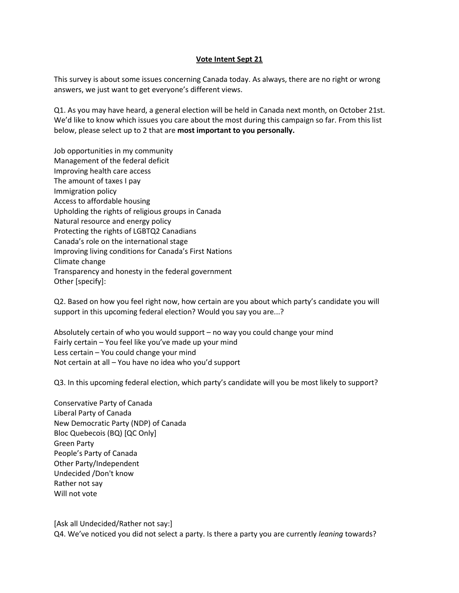## **Vote Intent Sept 21**

This survey is about some issues concerning Canada today. As always, there are no right or wrong answers, we just want to get everyone's different views.

Q1. As you may have heard, a general election will be held in Canada next month, on October 21st. We'd like to know which issues you care about the most during this campaign so far. From this list below, please select up to 2 that are **most important to you personally.** 

Job opportunities in my community Management of the federal deficit Improving health care access The amount of taxes I pay Immigration policy Access to affordable housing Upholding the rights of religious groups in Canada Natural resource and energy policy Protecting the rights of LGBTQ2 Canadians Canada's role on the international stage Improving living conditions for Canada's First Nations Climate change Transparency and honesty in the federal government Other [specify]:

Q2. Based on how you feel right now, how certain are you about which party's candidate you will support in this upcoming federal election? Would you say you are...?

Absolutely certain of who you would support – no way you could change your mind Fairly certain – You feel like you've made up your mind Less certain – You could change your mind Not certain at all – You have no idea who you'd support

Q3. In this upcoming federal election, which party's candidate will you be most likely to support?

Conservative Party of Canada Liberal Party of Canada New Democratic Party (NDP) of Canada Bloc Quebecois (BQ) [QC Only] Green Party People's Party of Canada Other Party/Independent Undecided /Don't know Rather not say Will not vote

[Ask all Undecided/Rather not say:]

Q4. We've noticed you did not select a party. Is there a party you are currently *leaning* towards?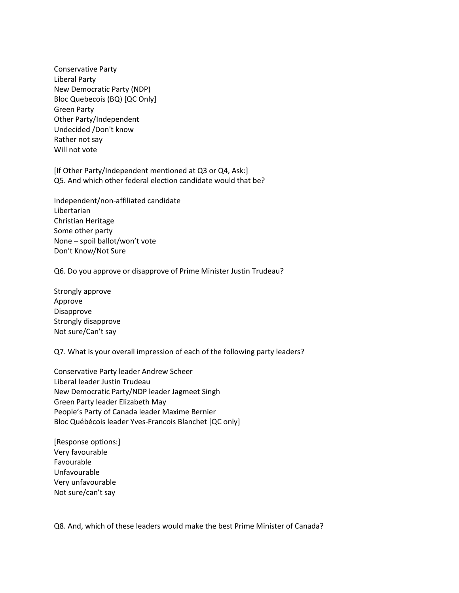Conservative Party Liberal Party New Democratic Party (NDP) Bloc Quebecois (BQ) [QC Only] Green Party Other Party/Independent Undecided /Don't know Rather not say Will not vote

[If Other Party/Independent mentioned at Q3 or Q4, Ask:] Q5. And which other federal election candidate would that be?

Independent/non-affiliated candidate Libertarian Christian Heritage Some other party None – spoil ballot/won't vote Don't Know/Not Sure

Q6. Do you approve or disapprove of Prime Minister Justin Trudeau?

Strongly approve Approve Disapprove Strongly disapprove Not sure/Can't say

Q7. What is your overall impression of each of the following party leaders?

Conservative Party leader Andrew Scheer Liberal leader Justin Trudeau New Democratic Party/NDP leader Jagmeet Singh Green Party leader Elizabeth May  People's Party of Canada leader Maxime Bernier Bloc Québécois leader Yves-Francois Blanchet [QC only]

[Response options:] Very favourable Favourable Unfavourable Very unfavourable Not sure/can't say

Q8. And, which of these leaders would make the best Prime Minister of Canada?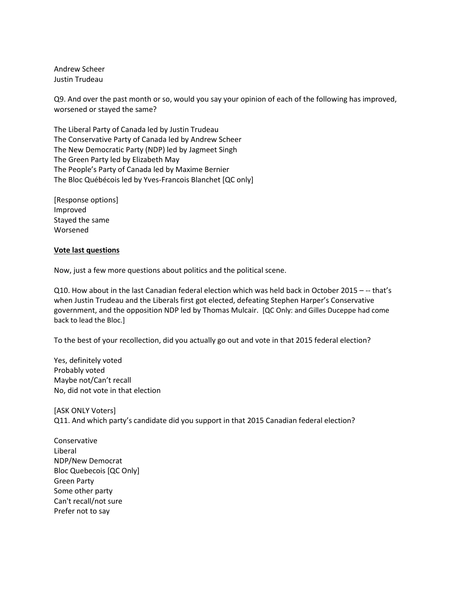Andrew Scheer Justin Trudeau

Q9. And over the past month or so, would you say your opinion of each of the following has improved, worsened or stayed the same?

The Liberal Party of Canada led by Justin Trudeau The Conservative Party of Canada led by Andrew Scheer The New Democratic Party (NDP) led by Jagmeet Singh The Green Party led by Elizabeth May The People's Party of Canada led by Maxime Bernier The Bloc Québécois led by Yves-Francois Blanchet [QC only]

[Response options] Improved Stayed the same Worsened

## **Vote last questions**

Now, just a few more questions about politics and the political scene.

Q10. How about in the last Canadian federal election which was held back in October 2015 – -- that's when Justin Trudeau and the Liberals first got elected, defeating Stephen Harper's Conservative government, and the opposition NDP led by Thomas Mulcair. [QC Only: and Gilles Duceppe had come back to lead the Bloc.]

To the best of your recollection, did you actually go out and vote in that 2015 federal election?

Yes, definitely voted Probably voted Maybe not/Can't recall No, did not vote in that election

[ASK ONLY Voters] Q11. And which party's candidate did you support in that 2015 Canadian federal election?

Conservative **Liberal** NDP/New Democrat Bloc Quebecois [QC Only] Green Party Some other party Can't recall/not sure Prefer not to say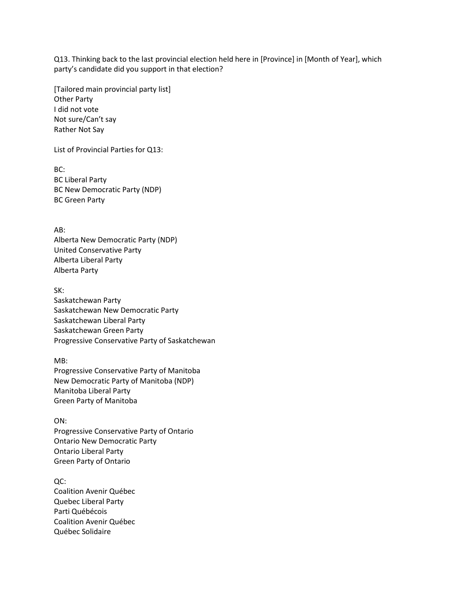Q13. Thinking back to the last provincial election held here in [Province] in [Month of Year], which party's candidate did you support in that election?

[Tailored main provincial party list] Other Party I did not vote Not sure/Can't say Rather Not Say

List of Provincial Parties for Q13:

BC: BC Liberal Party BC New Democratic Party (NDP) BC Green Party

AB: Alberta New Democratic Party (NDP) United Conservative Party Alberta Liberal Party Alberta Party

SK: Saskatchewan Party Saskatchewan New Democratic Party Saskatchewan Liberal Party Saskatchewan Green Party Progressive Conservative Party of Saskatchewan

MB: Progressive Conservative Party of Manitoba New Democratic Party of Manitoba (NDP) Manitoba Liberal Party Green Party of Manitoba

ON: Progressive Conservative Party of Ontario Ontario New Democratic Party Ontario Liberal Party Green Party of Ontario

QC: Coalition Avenir Québec Quebec Liberal Party Parti Québécois Coalition Avenir Québec Québec Solidaire